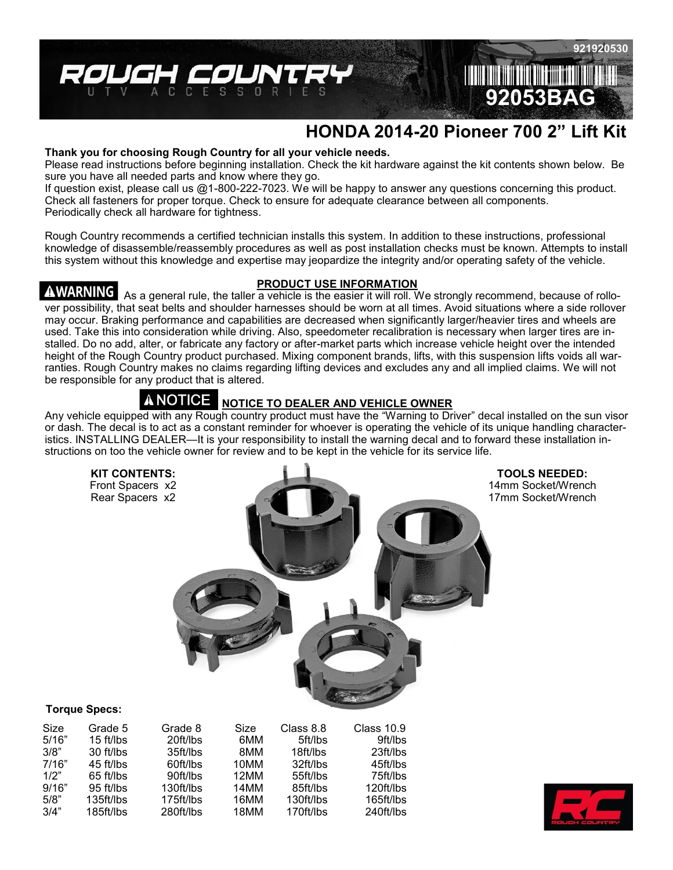

# **HONDA 2014-20 Pioneer 700 2" Lift Kit**

#### **Thank you for choosing Rough Country for all your vehicle needs.**

Please read instructions before beginning installation. Check the kit hardware against the kit contents shown below. Be sure you have all needed parts and know where they go.

If question exist, please call us @1-800-222-7023. We will be happy to answer any questions concerning this product. Check all fasteners for proper torque. Check to ensure for adequate clearance between all components. Periodically check all hardware for tightness.

Rough Country recommends a certified technician installs this system. In addition to these instructions, professional knowledge of disassemble/reassembly procedures as well as post installation checks must be known. Attempts to install this system without this knowledge and expertise may jeopardize the integrity and/or operating safety of the vehicle.

## AWARNING I

### **PRODUCT USE INFORMATION**

As a general rule, the taller a vehicle is the easier it will roll. We strongly recommend, because of rollover possibility, that seat belts and shoulder harnesses should be worn at all times. Avoid situations where a side rollover may occur. Braking performance and capabilities are decreased when significantly larger/heavier tires and wheels are used. Take this into consideration while driving. Also, speedometer recalibration is necessary when larger tires are installed. Do no add, alter, or fabricate any factory or after-market parts which increase vehicle height over the intended height of the Rough Country product purchased. Mixing component brands, lifts, with this suspension lifts voids all warranties. Rough Country makes no claims regarding lifting devices and excludes any and all implied claims. We will not be responsible for any product that is altered.

#### A NOTICE **NOTICE TO DEALER AND VEHICLE OWNER**

Any vehicle equipped with any Rough country product must have the "Warning to Driver" decal installed on the sun visor or dash. The decal is to act as a constant reminder for whoever is operating the vehicle of its unique handling characteristics. INSTALLING DEALER—It is your responsibility to install the warning decal and to forward these installation instructions on too the vehicle owner for review and to be kept in the vehicle for its service life.



**TOOLS NEEDED:** 14mm Socket/Wrench 17mm Socket/Wrench

#### **Torque Specs:**

| Size  | Grade 5   | Grade 8   | Size | Class 8.8 | Class 10.9 |
|-------|-----------|-----------|------|-----------|------------|
| 5/16" | 15 ft/lbs | 20ft/lbs  | 6MM  | 5ft/lbs   | 9ft/lbs    |
| 3/8"  | 30 ft/lbs | 35ft/lbs  | 8MM  | 18ft/lbs  | 23ft/lbs   |
| 7/16" | 45 ft/lbs | 60ft/lbs  | 10MM | 32ft/lbs  | 45ft/lbs   |
| 1/2"  | 65 ft/lbs | 90ft/lbs  | 12MM | 55ft/lbs  | 75ft/lbs   |
| 9/16" | 95 ft/lbs | 130ft/lbs | 14MM | 85ft/lbs  | 120ft/lbs  |
| 5/8"  | 135ft/lbs | 175ft/lbs | 16MM | 130ft/lbs | 165ft/lbs  |
| 3/4"  | 185ft/lbs | 280ft/lbs | 18MM | 170ft/lbs | 240ft/lbs  |